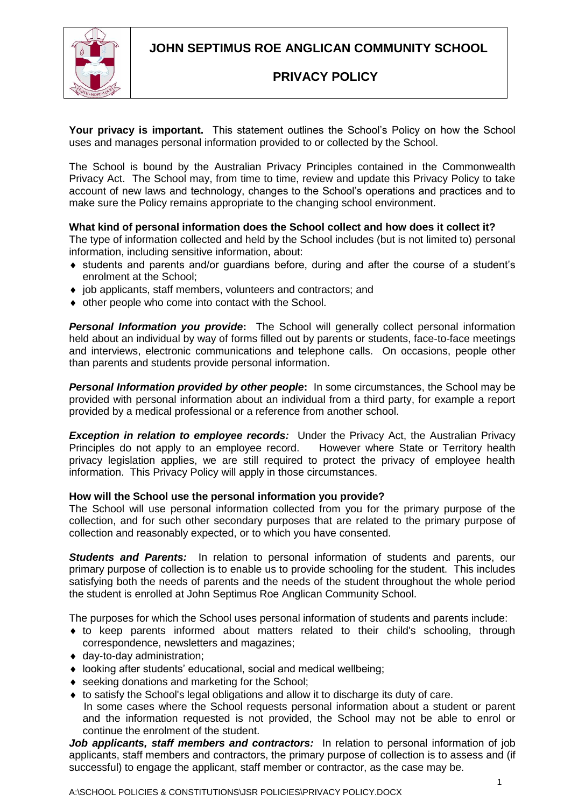**JOHN SEPTIMUS ROE ANGLICAN COMMUNITY SCHOOL**



# **PRIVACY POLICY**

**Your privacy is important.** This statement outlines the School's Policy on how the School uses and manages personal information provided to or collected by the School.

The School is bound by the Australian Privacy Principles contained in the Commonwealth Privacy Act. The School may, from time to time, review and update this Privacy Policy to take account of new laws and technology, changes to the School's operations and practices and to make sure the Policy remains appropriate to the changing school environment.

## **What kind of personal information does the School collect and how does it collect it?**

The type of information collected and held by the School includes (but is not limited to) personal information, including sensitive information, about:

- students and parents and/or guardians before, during and after the course of a student's enrolment at the School;
- $\bullet$  job applicants, staff members, volunteers and contractors; and
- other people who come into contact with the School.

*Personal Information you provide***:** The School will generally collect personal information held about an individual by way of forms filled out by parents or students, face-to-face meetings and interviews, electronic communications and telephone calls. On occasions, people other than parents and students provide personal information.

*Personal Information provided by other people***:** In some circumstances, the School may be provided with personal information about an individual from a third party, for example a report provided by a medical professional or a reference from another school.

**Exception in relation to employee records:** Under the Privacy Act, the Australian Privacy Principles do not apply to an employee record. However where State or Territory health privacy legislation applies, we are still required to protect the privacy of employee health information. This Privacy Policy will apply in those circumstances.

## **How will the School use the personal information you provide?**

The School will use personal information collected from you for the primary purpose of the collection, and for such other secondary purposes that are related to the primary purpose of collection and reasonably expected, or to which you have consented.

*Students and Parents:* In relation to personal information of students and parents, our primary purpose of collection is to enable us to provide schooling for the student. This includes satisfying both the needs of parents and the needs of the student throughout the whole period the student is enrolled at John Septimus Roe Anglican Community School.

The purposes for which the School uses personal information of students and parents include:

- to keep parents informed about matters related to their child's schooling, through correspondence, newsletters and magazines;
- day-to-day administration;
- looking after students' educational, social and medical wellbeing;
- ◆ seeking donations and marketing for the School:
- to satisfy the School's legal obligations and allow it to discharge its duty of care. In some cases where the School requests personal information about a student or parent and the information requested is not provided, the School may not be able to enrol or continue the enrolment of the student.

Job applicants, staff members and contractors: In relation to personal information of job applicants, staff members and contractors, the primary purpose of collection is to assess and (if successful) to engage the applicant, staff member or contractor, as the case may be.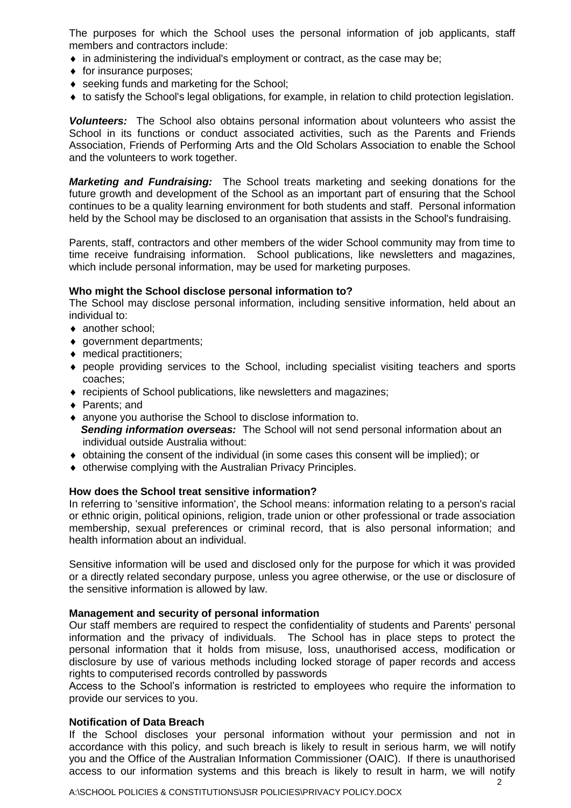The purposes for which the School uses the personal information of job applicants, staff members and contractors include:

- $\bullet$  in administering the individual's employment or contract, as the case may be;
- $\bullet$  for insurance purposes;
- ◆ seeking funds and marketing for the School;
- to satisfy the School's legal obligations, for example, in relation to child protection legislation.

*Volunteers:* The School also obtains personal information about volunteers who assist the School in its functions or conduct associated activities, such as the Parents and Friends Association, Friends of Performing Arts and the Old Scholars Association to enable the School and the volunteers to work together.

*Marketing and Fundraising:* The School treats marketing and seeking donations for the future growth and development of the School as an important part of ensuring that the School continues to be a quality learning environment for both students and staff. Personal information held by the School may be disclosed to an organisation that assists in the School's fundraising.

Parents, staff, contractors and other members of the wider School community may from time to time receive fundraising information. School publications, like newsletters and magazines, which include personal information, may be used for marketing purposes.

#### **Who might the School disclose personal information to?**

The School may disclose personal information, including sensitive information, held about an individual to:

- ◆ another school:
- government departments;
- ◆ medical practitioners;
- people providing services to the School, including specialist visiting teachers and sports coaches;
- recipients of School publications, like newsletters and magazines;
- ◆ Parents; and
- anyone you authorise the School to disclose information to. **Sending information overseas:** The School will not send personal information about an individual outside Australia without:
- $\bullet$  obtaining the consent of the individual (in some cases this consent will be implied); or
- otherwise complying with the Australian Privacy Principles.

#### **How does the School treat sensitive information?**

In referring to 'sensitive information', the School means: information relating to a person's racial or ethnic origin, political opinions, religion, trade union or other professional or trade association membership, sexual preferences or criminal record, that is also personal information; and health information about an individual.

Sensitive information will be used and disclosed only for the purpose for which it was provided or a directly related secondary purpose, unless you agree otherwise, or the use or disclosure of the sensitive information is allowed by law.

### **Management and security of personal information**

Our staff members are required to respect the confidentiality of students and Parents' personal information and the privacy of individuals. The School has in place steps to protect the personal information that it holds from misuse, loss, unauthorised access, modification or disclosure by use of various methods including locked storage of paper records and access rights to computerised records controlled by passwords

Access to the School's information is restricted to employees who require the information to provide our services to you.

#### **Notification of Data Breach**

If the School discloses your personal information without your permission and not in accordance with this policy, and such breach is likely to result in serious harm, we will notify you and the Office of the Australian Information Commissioner (OAIC). If there is unauthorised access to our information systems and this breach is likely to result in harm, we will notify

A:\SCHOOL POLICIES & CONSTITUTIONS\JSR POLICIES\PRIVACY POLICY.DOCX